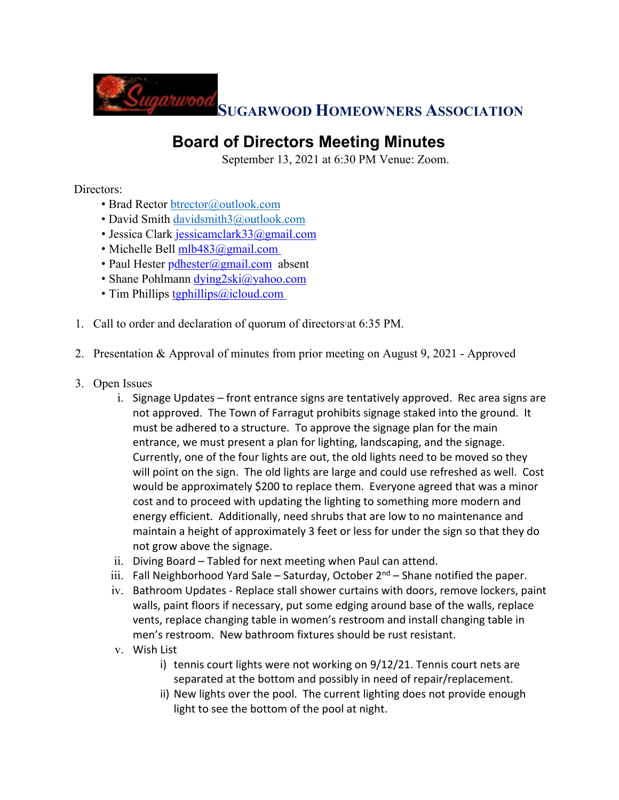

## **Board of Directors Meeting Minutes**

September 13, 2021 at 6:30 PM Venue: Zoom.

## Directors:

- Brad Rector btrector@outlook.com
- David Smith davidsmith3@outlook.com
- Jessica Clark jessicamclark33@gmail.com
- Michelle Bell  $mlb483@gmail.com$
- Paul Hester pdhester@gmail.com absent
- Shane Pohlmann dying2ski@yahoo.com
- Tim Phillips tgphillips@icloud.com
- 1. Call to order and declaration of quorum of directors'at 6:35 PM.
- 2. Presentation & Approval of minutes from prior meeting on August 9, 2021 Approved
- 3. Open Issues
	- i. Signage Updates front entrance signs are tentatively approved. Rec area signs are not approved. The Town of Farragut prohibits signage staked into the ground. It must be adhered to a structure. To approve the signage plan for the main entrance, we must present a plan for lighting, landscaping, and the signage. Currently, one of the four lights are out, the old lights need to be moved so they will point on the sign. The old lights are large and could use refreshed as well. Cost would be approximately \$200 to replace them. Everyone agreed that was a minor cost and to proceed with updating the lighting to something more modern and energy efficient. Additionally, need shrubs that are low to no maintenance and maintain a height of approximately 3 feet or less for under the sign so that they do not grow above the signage.
	- ii. Diving Board Tabled for next meeting when Paul can attend.
	- iii. Fall Neighborhood Yard Sale Saturday, October  $2^{nd}$  Shane notified the paper.
	- iv. Bathroom Updates Replace stall shower curtains with doors, remove lockers, paint walls, paint floors if necessary, put some edging around base of the walls, replace vents, replace changing table in women's restroom and install changing table in men's restroom. New bathroom fixtures should be rust resistant.
	- v. Wish List
		- i) tennis court lights were not working on 9/12/21. Tennis court nets are separated at the bottom and possibly in need of repair/replacement.
		- ii) New lights over the pool. The current lighting does not provide enough light to see the bottom of the pool at night.